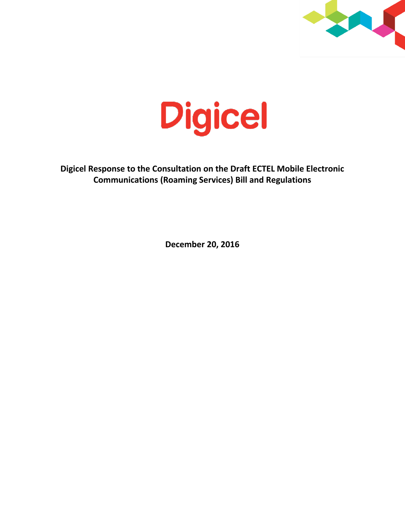



**Digicel Response to the Consultation on the Draft ECTEL Mobile Electronic Communications (Roaming Services) Bill and Regulations**

**December 20, 2016**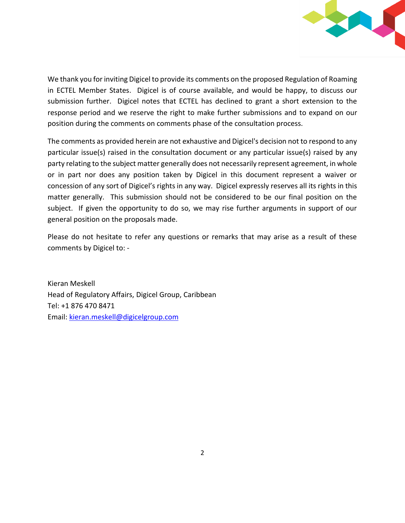

We thank you for inviting Digicel to provide its comments on the proposed Regulation of Roaming in ECTEL Member States. Digicel is of course available, and would be happy, to discuss our submission further. Digicel notes that ECTEL has declined to grant a short extension to the response period and we reserve the right to make further submissions and to expand on our position during the comments on comments phase of the consultation process.

The comments as provided herein are not exhaustive and Digicel's decision not to respond to any particular issue(s) raised in the consultation document or any particular issue(s) raised by any party relating to the subject matter generally does not necessarily represent agreement, in whole or in part nor does any position taken by Digicel in this document represent a waiver or concession of any sort of Digicel's rights in any way. Digicel expressly reserves all its rights in this matter generally. This submission should not be considered to be our final position on the subject. If given the opportunity to do so, we may rise further arguments in support of our general position on the proposals made.

Please do not hesitate to refer any questions or remarks that may arise as a result of these comments by Digicel to: -

Kieran Meskell Head of Regulatory Affairs, Digicel Group, Caribbean Tel: +1 876 470 8471 Email: [kieran.meskell@digicelgroup.com](mailto:kieran.meskell@digicelgroup.com)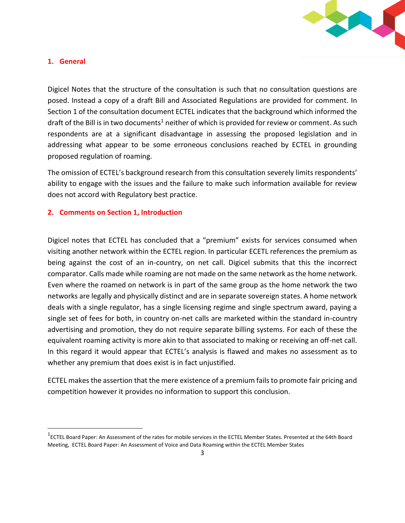

### **1. General**

l

Digicel Notes that the structure of the consultation is such that no consultation questions are posed. Instead a copy of a draft Bill and Associated Regulations are provided for comment. In Section 1 of the consultation document ECTEL indicates that the background which informed the draft of the Bill is in two documents<sup>1</sup> neither of which is provided for review or comment. As such respondents are at a significant disadvantage in assessing the proposed legislation and in addressing what appear to be some erroneous conclusions reached by ECTEL in grounding proposed regulation of roaming.

The omission of ECTEL's background research from this consultation severely limits respondents' ability to engage with the issues and the failure to make such information available for review does not accord with Regulatory best practice.

### **2. Comments on Section 1, Introduction**

Digicel notes that ECTEL has concluded that a "premium" exists for services consumed when visiting another network within the ECTEL region. In particular ECETL references the premium as being against the cost of an in-country, on net call. Digicel submits that this the incorrect comparator. Calls made while roaming are not made on the same network as the home network. Even where the roamed on network is in part of the same group as the home network the two networks are legally and physically distinct and are in separate sovereign states. A home network deals with a single regulator, has a single licensing regime and single spectrum award, paying a single set of fees for both, in country on-net calls are marketed within the standard in-country advertising and promotion, they do not require separate billing systems. For each of these the equivalent roaming activity is more akin to that associated to making or receiving an off-net call. In this regard it would appear that ECTEL's analysis is flawed and makes no assessment as to whether any premium that does exist is in fact unjustified.

ECTEL makes the assertion that the mere existence of a premium fails to promote fair pricing and competition however it provides no information to support this conclusion.

<sup>&</sup>lt;sup>1</sup>ECTEL Board Paper: An Assessment of the rates for mobile services in the ECTEL Member States. Presented at the 64th Board Meeting, ECTEL Board Paper: An Assessment of Voice and Data Roaming within the ECTEL Member States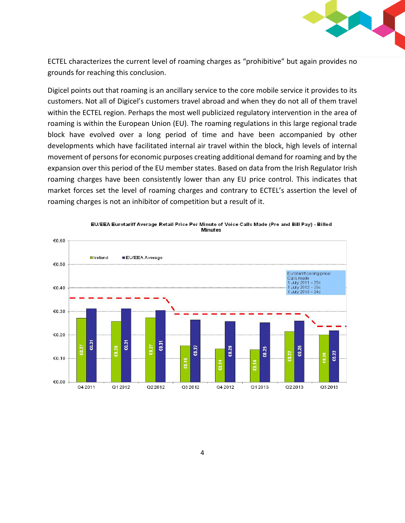

ECTEL characterizes the current level of roaming charges as "prohibitive" but again provides no grounds for reaching this conclusion.

Digicel points out that roaming is an ancillary service to the core mobile service it provides to its customers. Not all of Digicel's customers travel abroad and when they do not all of them travel within the ECTEL region. Perhaps the most well publicized regulatory intervention in the area of roaming is within the European Union (EU). The roaming regulations in this large regional trade block have evolved over a long period of time and have been accompanied by other developments which have facilitated internal air travel within the block, high levels of internal movement of persons for economic purposes creating additional demand for roaming and by the expansion over this period of the EU member states. Based on data from the Irish Regulator Irish roaming charges have been consistently lower than any EU price control. This indicates that market forces set the level of roaming charges and contrary to ECTEL's assertion the level of roaming charges is not an inhibitor of competition but a result of it.



EU/EEA Eurotariff Average Retail Price Per Minute of Voice Calls Made (Pre and Bill Pay) - Billed **Minutes**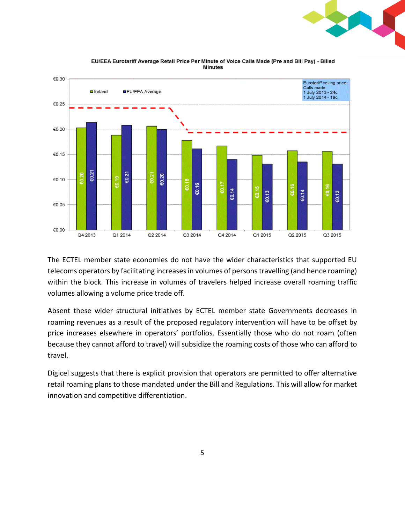



EU/EEA Eurotariff Average Retail Price Per Minute of Voice Calls Made (Pre and Bill Pay) - Billed **Minutes** 

The ECTEL member state economies do not have the wider characteristics that supported EU telecoms operators by facilitating increases in volumes of persons travelling (and hence roaming) within the block. This increase in volumes of travelers helped increase overall roaming traffic volumes allowing a volume price trade off.

Absent these wider structural initiatives by ECTEL member state Governments decreases in roaming revenues as a result of the proposed regulatory intervention will have to be offset by price increases elsewhere in operators' portfolios. Essentially those who do not roam (often because they cannot afford to travel) will subsidize the roaming costs of those who can afford to travel.

Digicel suggests that there is explicit provision that operators are permitted to offer alternative retail roaming plans to those mandated under the Bill and Regulations. This will allow for market innovation and competitive differentiation.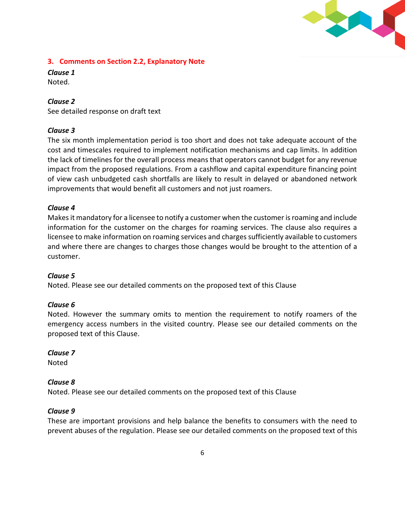

## **3. Comments on Section 2.2, Explanatory Note**

*Clause 1*  Noted.

## *Clause 2*

See detailed response on draft text

### *Clause 3*

The six month implementation period is too short and does not take adequate account of the cost and timescales required to implement notification mechanisms and cap limits. In addition the lack of timelines for the overall process means that operators cannot budget for any revenue impact from the proposed regulations. From a cashflow and capital expenditure financing point of view cash unbudgeted cash shortfalls are likely to result in delayed or abandoned network improvements that would benefit all customers and not just roamers.

### *Clause 4*

Makes it mandatory for a licensee to notify a customer when the customer is roaming and include information for the customer on the charges for roaming services. The clause also requires a licensee to make information on roaming services and charges sufficiently available to customers and where there are changes to charges those changes would be brought to the attention of a customer.

### *Clause 5*

Noted. Please see our detailed comments on the proposed text of this Clause

### *Clause 6*

Noted. However the summary omits to mention the requirement to notify roamers of the emergency access numbers in the visited country. Please see our detailed comments on the proposed text of this Clause.

#### *Clause 7*

Noted

### *Clause 8*

Noted. Please see our detailed comments on the proposed text of this Clause

#### *Clause 9*

These are important provisions and help balance the benefits to consumers with the need to prevent abuses of the regulation. Please see our detailed comments on the proposed text of this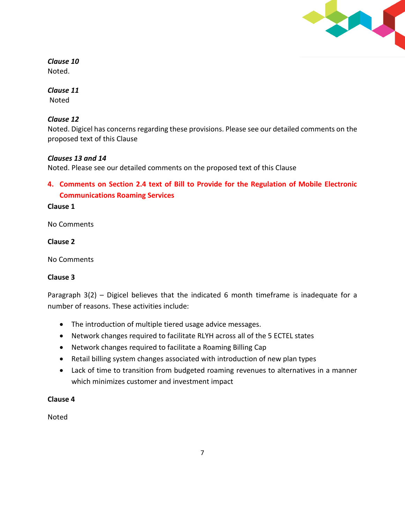

# *Clause 10*

Noted.

# *Clause 11*

Noted

# *Clause 12*

Noted. Digicel has concerns regarding these provisions. Please see our detailed comments on the proposed text of this Clause

# *Clauses 13 and 14*

Noted. Please see our detailed comments on the proposed text of this Clause

**4. Comments on Section 2.4 text of Bill to Provide for the Regulation of Mobile Electronic Communications Roaming Services**

## **Clause 1**

No Comments

## **Clause 2**

No Comments

# **Clause 3**

Paragraph 3(2) – Digicel believes that the indicated 6 month timeframe is inadequate for a number of reasons. These activities include:

- The introduction of multiple tiered usage advice messages.
- Network changes required to facilitate RLYH across all of the 5 ECTEL states
- Network changes required to facilitate a Roaming Billing Cap
- Retail billing system changes associated with introduction of new plan types
- Lack of time to transition from budgeted roaming revenues to alternatives in a manner which minimizes customer and investment impact

# **Clause 4**

Noted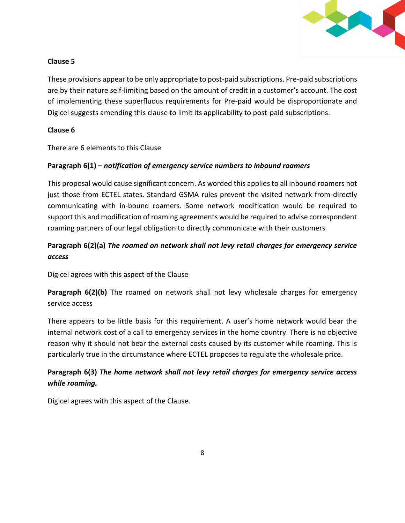

# **Clause 5**

These provisions appear to be only appropriate to post-paid subscriptions. Pre-paid subscriptions are by their nature self-limiting based on the amount of credit in a customer's account. The cost of implementing these superfluous requirements for Pre-paid would be disproportionate and Digicel suggests amending this clause to limit its applicability to post-paid subscriptions.

# **Clause 6**

There are 6 elements to this Clause

# **Paragraph 6(1) –** *notification of emergency service numbers to inbound roamers*

This proposal would cause significant concern. As worded this applies to all inbound roamers not just those from ECTEL states. Standard GSMA rules prevent the visited network from directly communicating with in-bound roamers. Some network modification would be required to support this and modification of roaming agreements would be required to advise correspondent roaming partners of our legal obligation to directly communicate with their customers

# **Paragraph 6(2)(a)** *The roamed on network shall not levy retail charges for emergency service access*

Digicel agrees with this aspect of the Clause

**Paragraph 6(2)(b)** The roamed on network shall not levy wholesale charges for emergency service access

There appears to be little basis for this requirement. A user's home network would bear the internal network cost of a call to emergency services in the home country. There is no objective reason why it should not bear the external costs caused by its customer while roaming. This is particularly true in the circumstance where ECTEL proposes to regulate the wholesale price.

# **Paragraph 6(3)** *The home network shall not levy retail charges for emergency service access while roaming.*

Digicel agrees with this aspect of the Clause.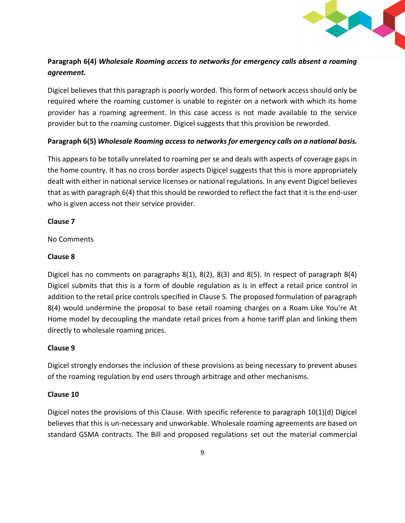

# **Paragraph 6(4)** *Wholesale Roaming access to networks for emergency calls absent a roaming agreement.*

Digicel believes that this paragraph is poorly worded. This form of network access should only be required where the roaming customer is unable to register on a network with which its home provider has a roaming agreement. In this case access is not made available to the service provider but to the roaming customer. Digicel suggests that this provision be reworded.

## **Paragraph 6(5)** *Wholesale Roaming access to networks for emergency calls on a national basis.*

This appears to be totally unrelated to roaming per se and deals with aspects of coverage gaps in the home country. It has no cross border aspects Digicel suggests that this is more appropriately dealt with either in national service licenses or national regulations. In any event Digicel believes that as with paragraph 6(4) that this should be reworded to reflect the fact that it is the end-user who is given access not their service provider.

## **Clause 7**

No Comments

## **Clause 8**

Digicel has no comments on paragraphs 8(1), 8(2), 8(3) and 8(5). In respect of paragraph 8(4) Digicel submits that this is a form of double regulation as is in effect a retail price control in addition to the retail price controls specified in Clause 5. The proposed formulation of paragraph 8(4) would undermine the proposal to base retail roaming charges on a Roam Like You're At Home model by decoupling the mandate retail prices from a home tariff plan and linking them directly to wholesale roaming prices.

# **Clause 9**

Digicel strongly endorses the inclusion of these provisions as being necessary to prevent abuses of the roaming regulation by end users through arbitrage and other mechanisms.

### **Clause 10**

Digicel notes the provisions of this Clause. With specific reference to paragraph 10(1)(d) Digicel believes that this is un-necessary and unworkable. Wholesale roaming agreements are based on standard GSMA contracts. The Bill and proposed regulations set out the material commercial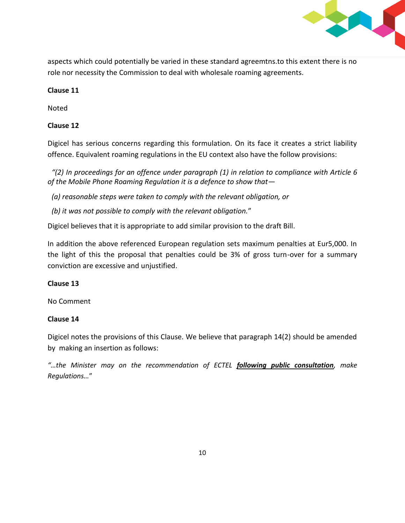

aspects which could potentially be varied in these standard agreemtns.to this extent there is no role nor necessity the Commission to deal with wholesale roaming agreements.

### **Clause 11**

Noted

## **Clause 12**

Digicel has serious concerns regarding this formulation. On its face it creates a strict liability offence. Equivalent roaming regulations in the EU context also have the follow provisions:

*"(2) In proceedings for an offence under paragraph (1) in relation to compliance with Article 6 of the Mobile Phone Roaming Regulation it is a defence to show that—*

*(a) reasonable steps were taken to comply with the relevant obligation, or*

*(b) it was not possible to comply with the relevant obligation.*"

Digicel believes that it is appropriate to add similar provision to the draft Bill.

In addition the above referenced European regulation sets maximum penalties at Eur5,000. In the light of this the proposal that penalties could be 3% of gross turn-over for a summary conviction are excessive and unjustified.

### **Clause 13**

No Comment

### **Clause 14**

Digicel notes the provisions of this Clause. We believe that paragraph 14(2) should be amended by making an insertion as follows:

*"…the Minister may on the recommendation of ECTEL following public consultation, make Regulations…*"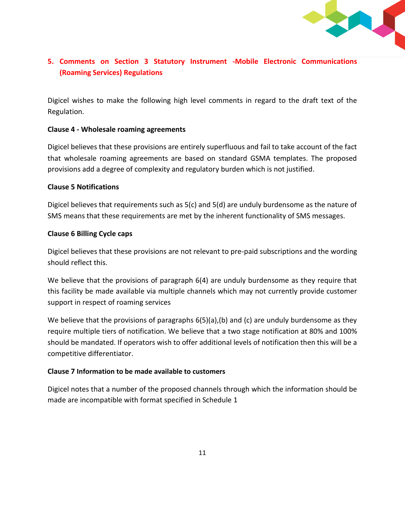

# **5. Comments on Section 3 Statutory Instrument -Mobile Electronic Communications (Roaming Services) Regulations**

Digicel wishes to make the following high level comments in regard to the draft text of the Regulation.

### **Clause 4 - Wholesale roaming agreements**

Digicel believes that these provisions are entirely superfluous and fail to take account of the fact that wholesale roaming agreements are based on standard GSMA templates. The proposed provisions add a degree of complexity and regulatory burden which is not justified.

### **Clause 5 Notifications**

Digicel believes that requirements such as 5(c) and 5(d) are unduly burdensome as the nature of SMS means that these requirements are met by the inherent functionality of SMS messages.

### **Clause 6 Billing Cycle caps**

Digicel believes that these provisions are not relevant to pre-paid subscriptions and the wording should reflect this.

We believe that the provisions of paragraph 6(4) are unduly burdensome as they require that this facility be made available via multiple channels which may not currently provide customer support in respect of roaming services

We believe that the provisions of paragraphs  $6(5)(a)$ , (b) and (c) are unduly burdensome as they require multiple tiers of notification. We believe that a two stage notification at 80% and 100% should be mandated. If operators wish to offer additional levels of notification then this will be a competitive differentiator.

#### **Clause 7 Information to be made available to customers**

Digicel notes that a number of the proposed channels through which the information should be made are incompatible with format specified in Schedule 1